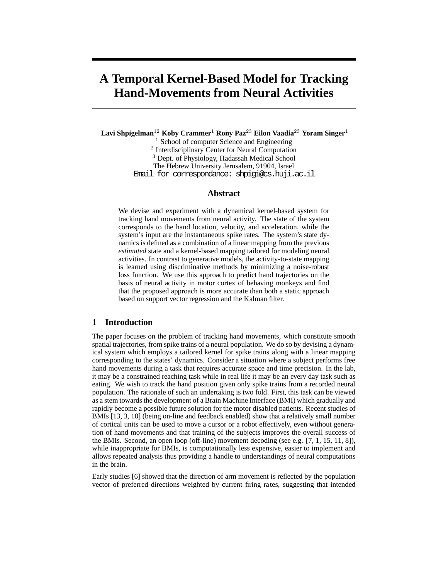# **A Temporal Kernel-Based Model for Tracking Hand-Movements from Neural Activities**

**Lavi Shpigelman**<sup>12</sup> **Koby Crammer**<sup>1</sup> **Rony Paz**<sup>23</sup> **Eilon Vaadia**<sup>23</sup> **Yoram Singer**<sup>1</sup>

<sup>1</sup> School of computer Science and Engineering

<sup>2</sup> Interdisciplinary Center for Neural Computation

<sup>3</sup> Dept. of Physiology, Hadassah Medical School

The Hebrew University Jerusalem, 91904, Israel

Email for correspondance: shpigi@cs.huji.ac.il

#### **Abstract**

We devise and experiment with a dynamical kernel-based system for tracking hand movements from neural activity. The state of the system corresponds to the hand location, velocity, and acceleration, while the system's input are the instantaneous spike rates. The system's state dynamics is defined as a combination of a linear mapping from the previous *estimated* state and a kernel-based mapping tailored for modeling neural activities. In contrast to generative models, the activity-to-state mapping is learned using discriminative methods by minimizing a noise-robust loss function. We use this approach to predict hand trajectories on the basis of neural activity in motor cortex of behaving monkeys and find that the proposed approach is more accurate than both a static approach based on support vector regression and the Kalman filter.

## **1 Introduction**

The paper focuses on the problem of tracking hand movements, which constitute smooth spatial trajectories, from spike trains of a neural population. We do so by devising a dynamical system which employs a tailored kernel for spike trains along with a linear mapping corresponding to the states' dynamics. Consider a situation where a subject performs free hand movements during a task that requires accurate space and time precision. In the lab, it may be a constrained reaching task while in real life it may be an every day task such as eating. We wish to track the hand position given only spike trains from a recorded neural population. The rationale of such an undertaking is two fold. First, this task can be viewed as a stem towards the development of a Brain Machine Interface (BMI) which gradually and rapidly become a possible future solution for the motor disabled patients. Recent studies of BMIs [13, 3, 10] (being on-line and feedback enabled) show that a relatively small number of cortical units can be used to move a cursor or a robot effectively, even without generation of hand movements and that training of the subjects improves the overall success of the BMIs. Second, an open loop (off-line) movement decoding (see e.g. [7, 1, 15, 11, 8]), while inappropriate for BMIs, is computationally less expensive, easier to implement and allows repeated analysis thus providing a handle to understandings of neural computations in the brain.

Early studies [6] showed that the direction of arm movement is reflected by the population vector of preferred directions weighted by current firing rates, suggesting that intended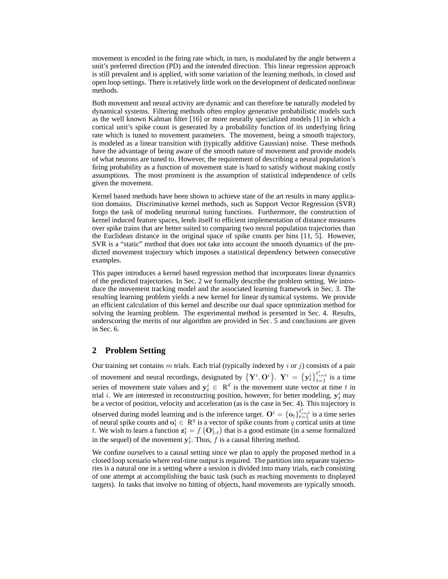movement is encoded in the firing rate which, in turn, is modulated by the angle between a unit's preferred direction (PD) and the intended direction. This linear regression approach is still prevalent and is applied, with some variation of the learning methods, in closed and open loop settings. There is relatively little work on the development of dedicated nonlinear methods.

Both movement and neural activity are dynamic and can therefore be naturally modeled by dynamical systems. Filtering methods often employ generative probabilistic models such as the well known Kalman filter [16] or more neurally specialized models [1] in which a cortical unit's spike count is generated by a probability function of its underlying firing rate which is tuned to movement parameters. The movement, being a smooth trajectory, is modeled as a linear transition with (typically additive Gaussian) noise. These methods have the advantage of being aware of the smooth nature of movement and provide models of what neurons are tuned to. However, the requirement of describing a neural population's firing probability as a function of movement state is hard to satisfy without making costly assumptions. The most prominent is the assumption of statistical independence of cells given the movement.

Kernel based methods have been shown to achieve state of the art results in many application domains. Discriminative kernel methods, such as Support Vector Regression (SVR) forgo the task of modeling neuronal tuning functions. Furthermore, the construction of kernel induced feature spaces, lends itself to efficient implementation of distance measures over spike trains that are better suited to comparing two neural population trajectories than the Euclidean distance in the original space of spike counts per bins [11, 5]. However, SVR is a "static" method that does not take into account the smooth dynamics of the predicted movement trajectory which imposes a statistical dependency between consecutive examples.

This paper introduces a kernel based regression method that incorporates linear dynamics of the predicted trajectories. In Sec. 2 we formally describe the problem setting. We introduce the movement tracking model and the associated learning framework in Sec. 3. The resulting learning problem yields a new kernel for linear dynamical systems. We provide an efficient calculation of this kernel and describe our dual space optimization method for solving the learning problem. The experimental method is presented in Sec. 4. Results, underscoring the merits of our algorithm are provided in Sec. 5 and conclusions are given in Sec. 6.

### **2 Problem Setting**

Our training set contains m trials. Each trial (typically indexed by i or j) consists of a pair of movement and neural recordings, designated by  $\{Y^i, O^i\}$ .  $Y^i = \{y_t^i\}_{t=1}^{t_{end}^i}$  is a time series of movement state values and  $y_t^i \in R^d$  is the movement state vector at time t in trial *i*. We are interested in reconstructing position, however, for better modeling,  $y_t^i$  may be a vector of position, velocity and acceleration (as is the case in Sec. 4). This trajectory is observed during model learning and is the inference target.  $O^i = \{o_t\}_{t=1}^{t_{end}^i}$  is a time series of neural spike counts and  $\mathbf{o}_t^i \in \mathbb{R}^q$  is a vector of spike counts from q cortical units at time t. We wish to learn a function  $\mathbf{z}_t^i = f\left(\mathbf{O}_{1:t}^i\right)$  that is a good estimate (in a sense formalized in the sequel) of the movement  $y_t^i$ . Thus, f is a causal filtering method.

We confine ourselves to a causal setting since we plan to apply the proposed method in a closed loop scenario where real-time output is required. The partition into separate trajectories is a natural one in a setting where a session is divided into many trials, each consisting of one attempt at accomplishing the basic task (such as reaching movements to displayed targets). In tasks that involve no hitting of objects, hand movements are typically smooth.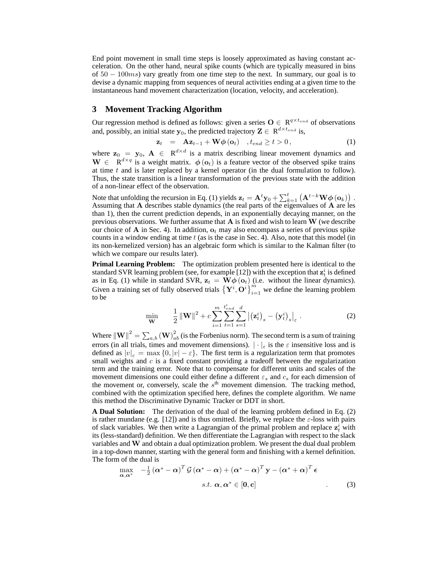End point movement in small time steps is loosely approximated as having constant acceleration. On the other hand, neural spike counts (which are typically measured in bins of  $50 - 100ms$ ) vary greatly from one time step to the next. In summary, our goal is to devise a dynamic mapping from sequences of neural activities ending at a given time to the instantaneous hand movement characterization (location, velocity, and acceleration).

### **3 Movement Tracking Algorithm**

Our regression method is defined as follows: given a series  $O \in \mathbb{R}^{q \times t_{end}}$  of observations and, possibly, an initial state  $y_0$ , the predicted trajectory  $Z \in \mathbb{R}^{d \times t_{end}}$  is,

$$
\mathbf{z}_{t} = \mathbf{A}\mathbf{z}_{t-1} + \mathbf{W}\boldsymbol{\phi}(\mathbf{o}_{t}) , t_{end} \geq t > 0, \qquad (1)
$$

where  $z_0 = y_0$ ,  $A \in R^{d \times d}$  is a matrix describing linear movement dynamics and  $\mathbf{W} \in \mathbb{R}^{d \times q}$  is a weight matrix.  $\phi(\mathbf{o}_t)$  is a feature vector of the observed spike trains at time  $t$  and is later replaced by a kernel operator (in the dual formulation to follow). Thus, the state transition is a linear transformation of the previous state with the addition of a non-linear effect of the observation.

Note that unfolding the recursion in Eq. (1) yields  $\mathbf{z}_t = \mathbf{A}^t \mathbf{y}_0 + \sum_{k=1}^t \left( \mathbf{A}^{t-k} \mathbf{W} \boldsymbol{\phi}(\mathbf{o}_k) \right)$ . Assuming that A describes stable dynamics (the real parts of the eigenvalues of A are les than 1), then the current prediction depends, in an exponentially decaying manner, on the previous observations. We further assume that  $A$  is fixed and wish to learn  $W$  (we describe our choice of A in Sec. 4). In addition,  $o_t$  may also encompass a series of previous spike counts in a window ending at time  $t$  (as is the case in Sec. 4). Also, note that this model (in its non-kernelized version) has an algebraic form which is similar to the Kalman filter (to which we compare our results later).

**Primal Learning Problem:** The optimization problem presented here is identical to the standard SVR learning problem (see, for example [12]) with the exception that  $\mathbf{z}_t^i$  is defined as in Eq. (1) while in standard SVR,  $z_t = W\phi(o_t)$  (i.e. without the linear dynamics). Given a training set of fully observed trials  $\{Y^i, \overrightarrow{O^i}\}_{i=1}^m$  we define the learning problem to be

$$
\min_{\mathbf{W}} \qquad \frac{1}{2} \left\| \mathbf{W} \right\|^2 + c \sum_{i=1}^m \sum_{t=1}^{t_{end}^i} \sum_{s=1}^d \left| \left( \mathbf{z}_t^i \right)_s - \left( \mathbf{y}_t^i \right)_s \right|_{\varepsilon} . \tag{2}
$$

Where  $\|\mathbf{W}\|^{2}=\sum_{a,b}\left(\mathbf{W}\right)_{ab}^{2}$  (is the Forbenius norm). The second term is a sum of training errors (in all trials, times and movement dimensions).  $|\cdot|_{\varepsilon}$  is the  $\varepsilon$  insensitive loss and is defined as  $|v|_{\varepsilon} = \max\{0, |v| - \varepsilon\}$ . The first term is a regularization term that promotes small weights and  $c$  is a fixed constant providing a tradeoff between the regularization term and the training error. Note that to compensate for different units and scales of the movement dimensions one could either define a different  $\varepsilon_s$  and  $c_s$  for each dimension of the movement or, conversely, scale the  $s<sup>th</sup>$  movement dimension. The tracking method, combined with the optimization specified here, defines the complete algorithm. We name this method the Discriminative Dynamic Tracker or DDT in short.

**A Dual Solution:** The derivation of the dual of the learning problem defined in Eq. (2) is rather mundane (e.g. [12]) and is thus omitted. Briefly, we replace the  $\varepsilon$ -loss with pairs of slack variables. We then write a Lagrangian of the primal problem and replace  $z_t^i$  with its (less-standard) definition. We then differentiate the Lagrangian with respect to the slack variables and  $W$  and obtain a dual optimization problem. We present the dual dual problem in a top-down manner, starting with the general form and finishing with a kernel definition. The form of the dual is

$$
\max_{\alpha,\alpha^*} \quad -\frac{1}{2} \left(\alpha^* - \alpha\right)^T \mathcal{G} \left(\alpha^* - \alpha\right) + \left(\alpha^* - \alpha\right)^T \mathbf{y} - \left(\alpha^* + \alpha\right)^T \boldsymbol{\epsilon}
$$
\n
$$
s.t. \ \alpha, \alpha^* \in [0, c] \tag{3}
$$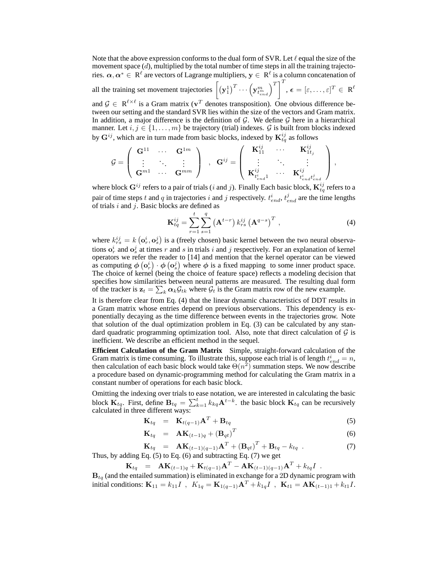Note that the above expression conforms to the dual form of SVR. Let  $\ell$  equal the size of the movement space  $(d)$ , multiplied by the total number of time steps in all the training trajectories.  $\alpha,\alpha^*\in \R^\ell$  are vectors of Lagrange multipliers,  $\mathbf{y}\in \ R^\ell$  is a column concatenation of all the training set movement trajectories  $\left[\left(\mathbf{y}_1^1\right)^T \cdots \left(\mathbf{y}_{t_{end}^m}^m\right)^T\right]^T$ ,  $\boldsymbol{\epsilon} = [\varepsilon, \dots, \varepsilon]^T \in \mathbb{R}^{\ell}$ 

and  $\mathcal{G} \in \mathbb{R}^{\ell \times \ell}$  is a Gram matrix ( $\mathbf{v}^T$  denotes transposition). One obvious difference between our setting and the standard SVR lies within the size of the vectors and Gram matrix. In addition, a major difference is the definition of  $G$ . We define  $G$  here in a hierarchical manner. Let  $i, j \in \{1, ..., m\}$  be trajectory (trial) indexes. G is built from blocks indexed by  $G^{ij}$ , which are in turn made from basic blocks, indexed by  $K^{ij}_{tq}$  as follows

$$
\mathcal{G} = \left( \begin{array}{ccc} \mathbf{G}^{11} & \cdots & \mathbf{G}^{1m} \\ \vdots & \ddots & \vdots \\ \mathbf{G}^{m1} & \cdots & \mathbf{G}^{mm} \end{array} \right) \;\; , \;\; \mathbf{G}^{ij} = \left( \begin{array}{ccc} \mathbf{K}_{11}^{ij} & \cdots & \mathbf{K}_{1t_j}^{ij} \\ \vdots & \ddots & \vdots \\ \mathbf{K}_{t_{end}^{ij}}^{ij} & \cdots & \mathbf{K}_{t_{end}^{ij}}^{ij} \right),
$$

where block  $\mathbf{G}^{ij}$  refers to a pair of trials (i and j). Finally Each basic block,  $\mathbf{K}_{tq}^{ij}$  refers to a pair of time steps t and q in trajectories i and j respectively.  $t_{end}^i$ ,  $t_{end}^j$  are the time lengths of trials  $i$  and  $j$ . Basic blocks are defined as

$$
\mathbf{K}_{tq}^{ij} = \sum_{r=1}^{t} \sum_{s=1}^{q} \left( \mathbf{A}^{t-r} \right) k_{rs}^{ij} \left( \mathbf{A}^{q-s} \right)^{T}, \tag{4}
$$

where  $k_{rs}^{ij} = k(\mathbf{o}_r^i, \mathbf{o}_s^j)$  is a (freely chosen) basic kernel between the two neural observations  $o_r^i$  and  $o_s^j$  at times r and s in trials i and j respectively. For an explanation of kernel operators we refer the reader to [14] and mention that the kernel operator can be viewed as computing  $\phi\left(\mathbf{o}_r^i\right) \cdot \phi\left(\mathbf{o}_s^j\right)$  where  $\phi$  is a fixed mapping to some inner product space. The choice of kernel (being the choice of feature space) reflects a modeling decision that specifies how similarities between neural patterns are measured. The resulting dual form of the tracker is  $\mathbf{z}_t = \sum_k \alpha_k \mathcal{G}_{tk}$  where  $\mathcal{G}_t$  is the Gram matrix row of the new example.

It is therefore clear from Eq. (4) that the linear dynamic characteristics of DDT results in a Gram matrix whose entries depend on previous observations. This dependency is exponentially decaying as the time difference between events in the trajectories grow. Note that solution of the dual optimization problem in Eq. (3) can be calculated by any standard quadratic programming optimization tool. Also, note that direct calculation of  $G$  is inefficient. We describe an efficient method in the sequel.

**Efficient Calculation of the Gram Matrix** Simple, straight-forward calculation of the Gram matrix is time consuming. To illustrate this, suppose each trial is of length  $t_{end}^i = n$ , then calculation of each basic block would take  $\Theta(n^2)$  summation steps. We now describe a procedure based on dynamic-programming method for calculating the Gram matrix in a constant number of operations for each basic block.

Omitting the indexing over trials to ease notation, we are interested in calculating the basic block  $\mathbf{K}_{tq}$ . First, define  $\mathbf{B}_{tq} = \sum_{k=1}^{t} k_{kq} \mathbf{A}^{t-k}$ . the basic block  $\mathbf{K}_{tq}$  can be recursively calculated in three different ways:

$$
\mathbf{K}_{tq} = \mathbf{K}_{t(q-1)}\mathbf{A}^T + \mathbf{B}_{tq} \tag{5}
$$

$$
\mathbf{K}_{tq} = \mathbf{A}\mathbf{K}_{(t-1)q} + (\mathbf{B}_{qt})^T
$$
 (6)

$$
\mathbf{K}_{tq} = \mathbf{A}\mathbf{K}_{(t-1)(q-1)}\mathbf{A}^T + (\mathbf{B}_{qt})^T + \mathbf{B}_{tq} - k_{tq} \tag{7}
$$
  
Thus, by adding Eq. (5) to Eq. (6) and subtracting Eq. (7) we get

$$
\mathbf{K}_{tq} = \mathbf{A}\mathbf{K}_{(t-1)q} + \mathbf{K}_{t(q-1)}\mathbf{A}^T - \mathbf{A}\mathbf{K}_{(t-1)(q-1)}\mathbf{A}^T + k_{tq}I
$$

 $B_{tq}$  (and the entailed summation) is eliminated in exchange for a 2D dynamic program with initial conditions:  $K_{11} = k_{11}I$ ,  $K_{1q} = K_{1(q-1)}A^T + k_{1q}I$ ,  $K_{t1} = AK_{(t-1)1} + k_{t1}I$ .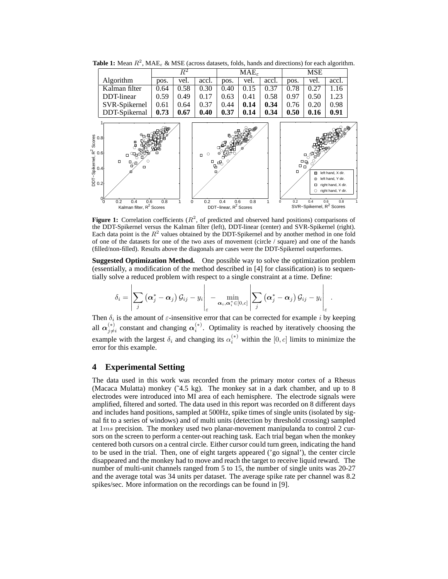

**Table 1:** Mean  $R^2$ , MAE<sub> $\epsilon$ </sub> & MSE (across datasets, folds, hands and directions) for each algorithm.

**Figure 1:** Correlation coefficients  $(R^2)$ , of predicted and observed hand positions) comparisons of the DDT-Spikernel versus the Kalman filter (left), DDT-linear (center) and SVR-Spikernel (right). Each data point is the  $R^2$  values obtained by the DDT-Spikernel and by another method in one fold of one of the datasets for one of the two axes of movement (circle / square) and one of the hands (filled/non-filled). Results above the diagonals are cases were the DDT-Spikernel outperformes.

**Suggested Optimization Method.** One possible way to solve the optimization problem (essentially, a modification of the method described in [4] for classification) is to sequentially solve a reduced problem with respect to a single constraint at a time. Define:

$$
\delta_i = \left|\sum_j \left(\boldsymbol{\alpha}_j^* - \boldsymbol{\alpha}_j\right) \mathcal{G}_{ij} - y_i\right|_{\varepsilon} - \min_{\boldsymbol{\alpha}_i, \boldsymbol{\alpha}_i^* \in [0, c]} \left|\sum_j \left(\boldsymbol{\alpha}_j^* - \boldsymbol{\alpha}_j\right) \mathcal{G}_{ij} - y_i\right|_{\varepsilon}.
$$

 $\overline{1}$ 

Then  $\delta_i$  is the amount of  $\varepsilon$ -insensitive error that can be corrected for example i by keeping all  $\alpha_{i\neq}^{(*)}$  $\chi_{j\neq i}^{(*)}$  constant and changing  $\alpha_i^{(*)}$ . Optimality is reached by iteratively choosing the example with the largest  $\delta_i$  and changing its  $\alpha_i^{(*)}$  within the  $[0, c]$  limits to minimize the error for this example.

### **4 Experimental Setting**

The data used in this work was recorded from the primary motor cortex of a Rhesus (Macaca Mulatta) monkey  $(^{4}4.5 \text{ kg})$ . The monkey sat in a dark chamber, and up to 8 electrodes were introduced into MI area of each hemisphere. The electrode signals were amplified, filtered and sorted. The data used in this report was recorded on 8 different days and includes hand positions, sampled at 500Hz, spike times of single units (isolated by signal fit to a series of windows) and of multi units (detection by threshold crossing) sampled at 1ms precision. The monkey used two planar-movement manipulanda to control 2 cursors on the screen to perform a center-out reaching task. Each trial began when the monkey centered both cursors on a central circle. Either cursor could turn green, indicating the hand to be used in the trial. Then, one of eight targets appeared ('go signal'), the center circle disappeared and the monkey had to move and reach the target to receive liquid reward. The number of multi-unit channels ranged from 5 to 15, the number of single units was 20-27 and the average total was 34 units per dataset. The average spike rate per channel was 8.2 spikes/sec. More information on the recordings can be found in [9].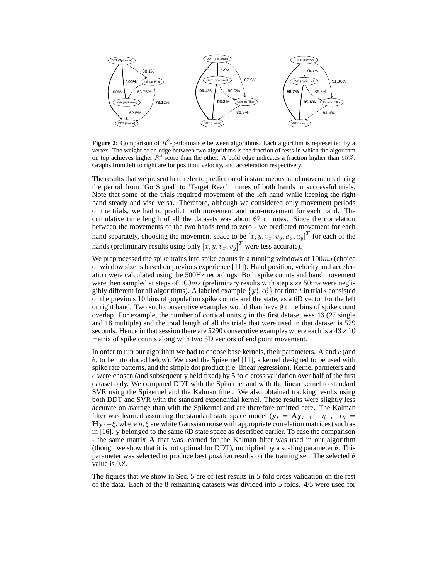

**Figure 2:** Comparison of  $R^2$ -performance between algorithms. Each algorithm is represented by a vertex. The weight of an edge between two algorithms is the fraction of tests in which the algorithm on top achieves higher  $R^2$  score than the other. A bold edge indicates a fraction higher than 95%. Graphs from left to right are for position, velocity, and acceleration respectively.

The results that we present here refer to prediction of instantaneous hand movements during the period from 'Go Signal' to 'Target Reach' times of both hands in successful trials. Note that some of the trials required movement of the left hand while keeping the right hand steady and vise versa. Therefore, although we considered only movement periods of the trials, we had to predict both movement and non-movement for each hand. The cumulative time length of all the datasets was about 67 minutes. Since the correlation between the movements of the two hands tend to zero - we predicted movement for each hand separately, choosing the movement space to be  $[x, y, v_x, v_y, a_x, a_y]^T$  for each of the hands (preliminary results using only  $[x, y, v_x, v_y]^T$  were less accurate).

We preprocessed the spike trains into spike counts in a running windows of  $100ms$  (choice of window size is based on previous experience [11]). Hand position, velocity and acceleration were calculated using the 500Hz recordings. Both spike counts and hand movement were then sampled at steps of  $100ms$  (preliminary results with step size  $50ms$  were negligibly different for all algorithms). A labeled example  $\{y_t^i, o_t^i\}$  for time t in trial i consisted of the previous 10 bins of population spike counts and the state, as a 6D vector for the left or right hand. Two such consecutive examples would than have 9 time bins of spike count overlap. For example, the number of cortical units  $q$  in the first dataset was 43 (27 single and 16 multiple) and the total length of all the trials that were used in that dataset is 529 seconds. Hence in that session there are 5290 consecutive examples where each is a  $43 \times 10$ matrix of spike counts along with two 6D vectors of end point movement.

In order to run our algorithm we had to choose base kernels, their parameters,  $A$  and  $c$  (and  $\theta$ , to be introduced below). We used the Spikernel [11], a kernel designed to be used with spike rate patterns, and the simple dot product (i.e. linear regression). Kernel parmeters and  $c$  were chosen (and subsequently held fixed) by 5 fold cross validation over half of the first dataset only. We compared DDT with the Spikernel and with the linear kernel to standard SVR using the Spikernel and the Kalman filter. We also obtained tracking results using both DDT and SVR with the standard exponential kernel. These results were slightly less accurate on average than with the Spikernel and are therefore omitted here. The Kalman filter was learned assuming the standard state space model ( $y_t = Ay_{t-1} + \eta$ , ot =  $\mathbf{H} \mathbf{y}_t + \xi$ , where  $\eta$ ,  $\xi$  are white Gaussian noise with appropriate correlation matrices) such as in [16]. y belonged to the same 6D state space as described earlier. To ease the comparison - the same matrix A that was learned for the Kalman filter was used in our algorithm (though we show that it is not optimal for DDT), multiplied by a scaling parameter  $\theta$ . This parameter was selected to produce best *position* results on the training set. The selected θ value is 0.8.

The figures that we show in Sec. 5 are of test results in 5 fold cross validation on the rest of the data. Each of the 8 remaining datasets was divided into 5 folds. 4/5 were used for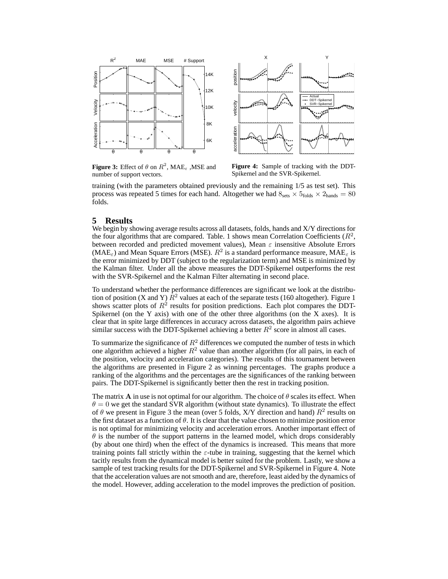

**Figure 3:** Effect of  $\theta$  on  $R^2$ , MAE<sub> $\epsilon$ </sub>, MSE and number of support vectors.

**Figure 4:** Sample of tracking with the DDT-Spikernel and the SVR-Spikernel.

training (with the parameters obtained previously and the remaining 1/5 as test set). This process was repeated 5 times for each hand. Altogether we had  $8_{\text{sets}} \times 5_{\text{folds}} \times 2_{\text{hands}} = 80$ folds.

## **5 Results**

We begin by showing average results across all datasets, folds, hands and X/Y directions for the four algorithms that are compared. Table. 1 shows mean Correlation Coefficients  $(R^2,$ between recorded and predicted movement values), Mean  $\varepsilon$  insensitive Absolute Errors (MAE<sub> $\varepsilon$ </sub>) and Mean Square Errors (MSE).  $R^2$  is a standard performance measure, MAE<sub> $\varepsilon$ </sub> is the error minimized by DDT (subject to the regularization term) and MSE is minimized by the Kalman filter. Under all the above measures the DDT-Spikernel outperforms the rest with the SVR-Spikernel and the Kalman Filter alternating in second place.

To understand whether the performance differences are significant we look at the distribution of position (X and Y)  $\bar{R}^2$  values at each of the separate tests (160 altogether). Figure 1 shows scatter plots of  $R^2$  results for position predictions. Each plot compares the DDT-Spikernel (on the Y axis) with one of the other three algorithms (on the X axes). It is clear that in spite large differences in accuracy across datasets, the algorithm pairs achieve similar success with the DDT-Spikernel achieving a better  $R^2$  score in almost all cases.

To summarize the significance of  $R^2$  differences we computed the number of tests in which one algorithm achieved a higher  $R^2$  value than another algorithm (for all pairs, in each of the position, velocity and acceleration categories). The results of this tournament between the algorithms are presented in Figure 2 as winning percentages. The graphs produce a ranking of the algorithms and the percentages are the significances of the ranking between pairs. The DDT-Spikernel is significantly better then the rest in tracking position.

The matrix **A** in use is not optimal for our algorithm. The choice of  $\theta$  scales its effect. When  $\theta = 0$  we get the standard SVR algorithm (without state dynamics). To illustrate the effect of  $\theta$  we present in Figure 3 the mean (over 5 folds, X/Y direction and hand)  $R^2$  results on the first dataset as a function of  $\theta$ . It is clear that the value chosen to minimize position error is not optimal for minimizing velocity and acceleration errors. Another important effect of  $\theta$  is the number of the support patterns in the learned model, which drops considerably (by about one third) when the effect of the dynamics is increased. This means that more training points fall strictly within the  $\varepsilon$ -tube in training, suggesting that the kernel which tacitly results from the dynamical model is better suited for the problem. Lastly, we show a sample of test tracking results for the DDT-Spikernel and SVR-Spikernel in Figure 4. Note that the acceleration values are not smooth and are, therefore, least aided by the dynamics of the model. However, adding acceleration to the model improves the prediction of position.